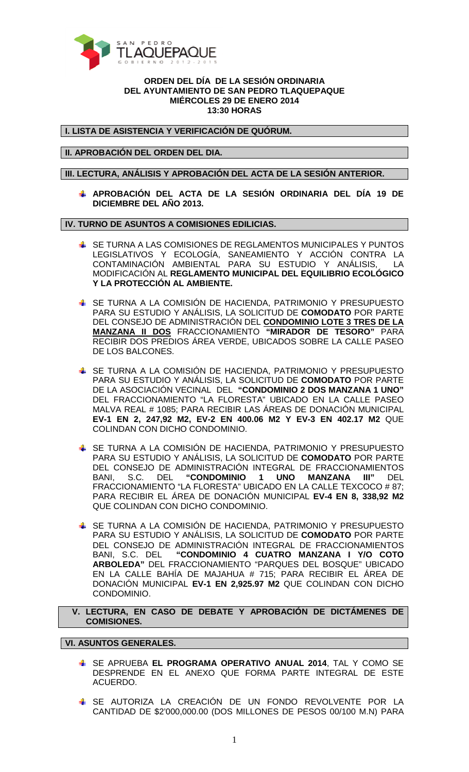

## **ORDEN DEL DÍA DE LA SESIÓN ORDINARIA DEL AYUNTAMIENTO DE SAN PEDRO TLAQUEPAQUE MIÉRCOLES 29 DE ENERO 2014 13:30 HORAS**

**I. LISTA DE ASISTENCIA Y VERIFICACIÓN DE QUÓRUM.** 

**II. APROBACIÓN DEL ORDEN DEL DIA.** 

**III. LECTURA, ANÁLISIS Y APROBACIÓN DEL ACTA DE LA SESIÓN ANTERIOR.** 

**APROBACIÓN DEL ACTA DE LA SESIÓN ORDINARIA DEL DÍA 19 DE DICIEMBRE DEL AÑO 2013.** 

**IV. TURNO DE ASUNTOS A COMISIONES EDILICIAS.** 

- SE TURNA A LAS COMISIONES DE REGLAMENTOS MUNICIPALES Y PUNTOS LEGISLATIVOS Y ECOLOGÍA, SANEAMIENTO Y ACCIÓN CONTRA LA CONTAMINACIÓN AMBIENTAL PARA SU ESTUDIO Y ANÁLISIS, LA MODIFICACIÓN AL **REGLAMENTO MUNICIPAL DEL EQUILIBRIO ECOLÓGICO Y LA PROTECCIÓN AL AMBIENTE.**
- SE TURNA A LA COMISIÓN DE HACIENDA, PATRIMONIO Y PRESUPUESTO PARA SU ESTUDIO Y ANÁLISIS, LA SOLICITUD DE **COMODATO** POR PARTE DEL CONSEJO DE ADMINISTRACIÓN DEL **CONDOMINIO LOTE 3 TRES DE LA MANZANA II DOS** FRACCIONAMIENTO **"MIRADOR DE TESORO"** PARA RECIBIR DOS PREDIOS ÁREA VERDE, UBICADOS SOBRE LA CALLE PASEO DE LOS BALCONES.
- SE TURNA A LA COMISIÓN DE HACIENDA, PATRIMONIO Y PRESUPUESTO PARA SU ESTUDIO Y ANÁLISIS, LA SOLICITUD DE **COMODATO** POR PARTE DE LA ASOCIACIÓN VECINAL DEL **"CONDOMINIO 2 DOS MANZANA 1 UNO"**  DEL FRACCIONAMIENTO "LA FLORESTA" UBICADO EN LA CALLE PASEO MALVA REAL # 1085; PARA RECIBIR LAS ÁREAS DE DONACIÓN MUNICIPAL **EV-1 EN 2, 247,92 M2, EV-2 EN 400.06 M2 Y EV-3 EN 402.17 M2** QUE COLINDAN CON DICHO CONDOMINIO.
- SE TURNA A LA COMISIÓN DE HACIENDA, PATRIMONIO Y PRESUPUESTO PARA SU ESTUDIO Y ANÁLISIS, LA SOLICITUD DE **COMODATO** POR PARTE DEL CONSEJO DE ADMINISTRACIÓN INTEGRAL DE FRACCIONAMIENTOS<br>BANI, S.C. DEL **"CONDOMINIO 1 UNO MANZANA III**" DEL BANI, S.C. DEL **"CONDOMINIO 1 UNO MANZANA III"** DEL FRACCIONAMIENTO "LA FLORESTA" UBICADO EN LA CALLE TEXCOCO # 87; PARA RECIBIR EL ÁREA DE DONACIÓN MUNICIPAL **EV-4 EN 8, 338,92 M2** QUE COLINDAN CON DICHO CONDOMINIO.
- SE TURNA A LA COMISIÓN DE HACIENDA, PATRIMONIO Y PRESUPUESTO PARA SU ESTUDIO Y ANÁLISIS, LA SOLICITUD DE **COMODATO** POR PARTE DEL CONSEJO DE ADMINISTRACIÓN INTEGRAL DE FRACCIONAMIENTOS BANI, S.C. DEL **"CONDOMINIO 4 CUATRO MANZANA I Y/O COTO ARBOLEDA"** DEL FRACCIONAMIENTO "PARQUES DEL BOSQUE" UBICADO EN LA CALLE BAHÍA DE MAJAHUA # 715; PARA RECIBIR EL ÁREA DE DONACIÓN MUNICIPAL **EV-1 EN 2,925.97 M2** QUE COLINDAN CON DICHO CONDOMINIO.

 **V. LECTURA, EN CASO DE DEBATE Y APROBACIÓN DE DICTÁMENES DE COMISIONES.** 

**VI. ASUNTOS GENERALES.** 

- SE APRUEBA **EL PROGRAMA OPERATIVO ANUAL 2014**, TAL Y COMO SE DESPRENDE EN EL ANEXO QUE FORMA PARTE INTEGRAL DE ESTE ACUERDO.
- SE AUTORIZA LA CREACIÓN DE UN FONDO REVOLVENTE POR LA CANTIDAD DE \$2'000,000.00 (DOS MILLONES DE PESOS 00/100 M.N) PARA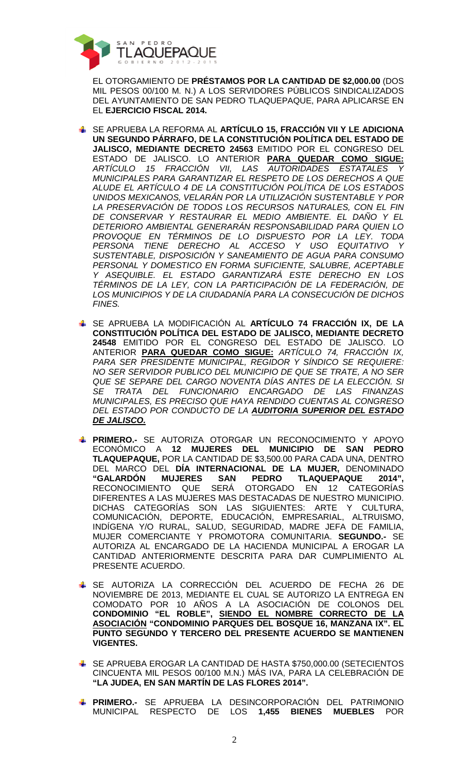

EL OTORGAMIENTO DE **PRÉSTAMOS POR LA CANTIDAD DE \$2,000.00** (DOS MIL PESOS 00/100 M. N.) A LOS SERVIDORES PÚBLICOS SINDICALIZADOS DEL AYUNTAMIENTO DE SAN PEDRO TLAQUEPAQUE, PARA APLICARSE EN EL **EJERCICIO FISCAL 2014.**

- SE APRUEBA LA REFORMA AL **ARTÍCULO 15, FRACCIÓN VII Y LE ADICIONA UN SEGUNDO PÁRRAFO, DE LA CONSTITUCIÓN POLÍTICA DEL ESTADO DE JALISCO, MEDIANTE DECRETO 24563** EMITIDO POR EL CONGRESO DEL ESTADO DE JALISCO. LO ANTERIOR **PARA QUEDAR COMO SIGUE:** ARTÍCULO 15 FRACCIÓN VII, LAS AUTORIDADES ESTATALES Y MUNICIPALES PARA GARANTIZAR EL RESPETO DE LOS DERECHOS A QUE ALUDE EL ARTÍCULO 4 DE LA CONSTITUCIÓN POLÍTICA DE LOS ESTADOS UNIDOS MEXICANOS, VELARÁN POR LA UTILIZACIÓN SUSTENTABLE Y POR LA PRESERVACIÓN DE TODOS LOS RECURSOS NATURALES, CON EL FIN DE CONSERVAR Y RESTAURAR EL MEDIO AMBIENTE. EL DAÑO Y EL DETERIORO AMBIENTAL GENERARÁN RESPONSABILIDAD PARA QUIEN LO PROVOQUE EN TÉRMINOS DE LO DISPUESTO POR LA LEY. TODA PERSONA TIENE DERECHO AL ACCESO Y USO EQUITATIVO Y SUSTENTABLE, DISPOSICIÓN Y SANEAMIENTO DE AGUA PARA CONSUMO PERSONAL Y DOMESTICO EN FORMA SUFICIENTE, SALUBRE, ACEPTABLE Y ASEQUIBLE. EL ESTADO GARANTIZARÁ ESTE DERECHO EN LOS TÉRMINOS DE LA LEY, CON LA PARTICIPACIÓN DE LA FEDERACIÓN, DE LOS MUNICIPIOS Y DE LA CIUDADANÍA PARA LA CONSECUCIÓN DE DICHOS FINES.
- SE APRUEBA LA MODIFICACIÓN AL **ARTÍCULO 74 FRACCIÓN IX, DE LA CONSTITUCIÓN POLÍTICA DEL ESTADO DE JALISCO, MEDIANTE DECRETO 24548** EMITIDO POR EL CONGRESO DEL ESTADO DE JALISCO. LO ANTERIOR **PARA QUEDAR COMO SIGUE:** ARTÍCULO 74, FRACCIÓN IX, PARA SER PRESIDENTE MUNICIPAL, REGIDOR Y SÍNDICO SE REQUIERE: NO SER SERVIDOR PUBLICO DEL MUNICIPIO DE QUE SE TRATE, A NO SER QUE SE SEPARE DEL CARGO NOVENTA DÍAS ANTES DE LA ELECCIÓN. SI SE TRATA DEL FUNCIONARIO ENCARGADO DE LAS FINANZAS MUNICIPALES, ES PRECISO QUE HAYA RENDIDO CUENTAS AL CONGRESO DEL ESTADO POR CONDUCTO DE LA **AUDITORIA SUPERIOR DEL ESTADO DE JALISCO.**
- **PRIMERO.-** SE AUTORIZA OTORGAR UN RECONOCIMIENTO Y APOYO ECONÓMICO A **12 MUJERES DEL MUNICIPIO DE SAN PEDRO TLAQUEPAQUE,** POR LA CANTIDAD DE \$3,500.00 PARA CADA UNA, DENTRO DEL MARCO DEL **DÍA INTERNACIONAL DE LA MUJER,** DENOMINADO **"GALARDÓN MUJERES SAN PEDRO TLAQUEPAQUE 2014",** RECONOCIMIENTO QUE SERÁ OTORGADO EN 12 CATEGORÍAS DIFERENTES A LAS MUJERES MAS DESTACADAS DE NUESTRO MUNICIPIO. DICHAS CATEGORÍAS SON LAS SIGUIENTES: ARTE Y CULTURA, COMUNICACIÓN, DEPORTE, EDUCACIÓN, EMPRESARIAL, ALTRUISMO, INDÍGENA Y/O RURAL, SALUD, SEGURIDAD, MADRE JEFA DE FAMILIA, MUJER COMERCIANTE Y PROMOTORA COMUNITARIA. **SEGUNDO.-** SE AUTORIZA AL ENCARGADO DE LA HACIENDA MUNICIPAL A EROGAR LA CANTIDAD ANTERIORMENTE DESCRITA PARA DAR CUMPLIMIENTO AL PRESENTE ACUERDO.
- SE AUTORIZA LA CORRECCIÓN DEL ACUERDO DE FECHA 26 DE NOVIEMBRE DE 2013, MEDIANTE EL CUAL SE AUTORIZO LA ENTREGA EN COMODATO POR 10 AÑOS A LA ASOCIACIÓN DE COLONOS DEL **CONDOMINIO "EL ROBLE", SIENDO EL NOMBRE CORRECTO DE LA ASOCIACIÓN "CONDOMINIO PARQUES DEL BOSQUE 16, MANZANA IX". EL PUNTO SEGUNDO Y TERCERO DEL PRESENTE ACUERDO SE MANTIENEN VIGENTES.**
- SE APRUEBA EROGAR LA CANTIDAD DE HASTA \$750,000.00 (SETECIENTOS CINCUENTA MIL PESOS 00/100 M.N.) MÁS IVA, PARA LA CELEBRACIÓN DE **"LA JUDEA, EN SAN MARTÍN DE LAS FLORES 2014".**
- **PRIMERO.-** SE APRUEBA LA DESINCORPORACIÓN DEL PATRIMONIO MUNICIPAL RESPECTO DE LOS **1,455 BIENES MUEBLES** POR